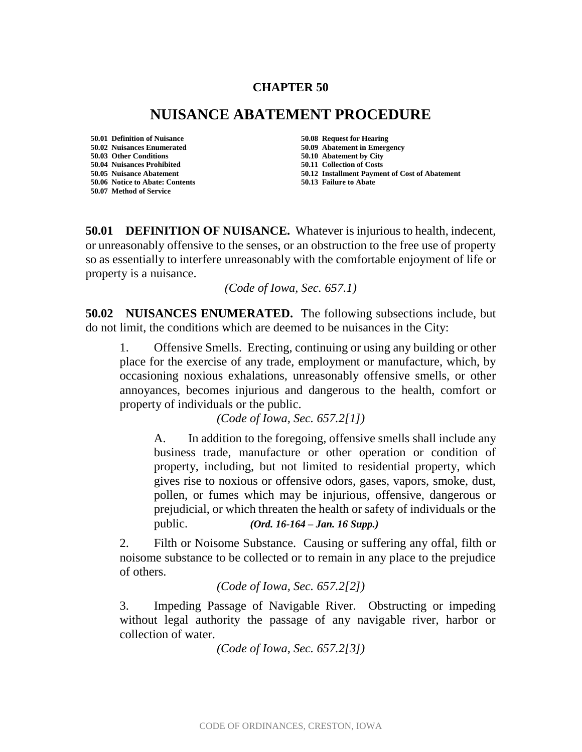#### **CHAPTER 50**

# **NUISANCE ABATEMENT PROCEDURE**

**50.01 Definition of Nuisance 50.08 Request for Hearing 50.02 Nuisances Enumerated 50.09 Abatement in Emergency 50.04 Nuisances Prohibited 50.11 Collection of Costs 50.06 Notice to Abate: Contents 50.13 Failure to Abate 50.07 Method of Service**

**50.03 Other Conditions 50.10 Abatement by City 50.05 Nuisance Abatement 50.12 Installment Payment of Cost of Abatement**

**50.01 DEFINITION OF NUISANCE.** Whatever is injurious to health, indecent, or unreasonably offensive to the senses, or an obstruction to the free use of property so as essentially to interfere unreasonably with the comfortable enjoyment of life or property is a nuisance.

*(Code of Iowa, Sec. 657.1)*

**50.02 NUISANCES ENUMERATED.** The following subsections include, but do not limit, the conditions which are deemed to be nuisances in the City:

1. Offensive Smells. Erecting, continuing or using any building or other place for the exercise of any trade, employment or manufacture, which, by occasioning noxious exhalations, unreasonably offensive smells, or other annoyances, becomes injurious and dangerous to the health, comfort or property of individuals or the public.

*(Code of Iowa, Sec. 657.2[1])*

A. In addition to the foregoing, offensive smells shall include any business trade, manufacture or other operation or condition of property, including, but not limited to residential property, which gives rise to noxious or offensive odors, gases, vapors, smoke, dust, pollen, or fumes which may be injurious, offensive, dangerous or prejudicial, or which threaten the health or safety of individuals or the public. *(Ord. 16-164 – Jan. 16 Supp.)*

2. Filth or Noisome Substance. Causing or suffering any offal, filth or noisome substance to be collected or to remain in any place to the prejudice of others.

#### *(Code of Iowa, Sec. 657.2[2])*

3. Impeding Passage of Navigable River. Obstructing or impeding without legal authority the passage of any navigable river, harbor or collection of water.

*(Code of Iowa, Sec. 657.2[3])*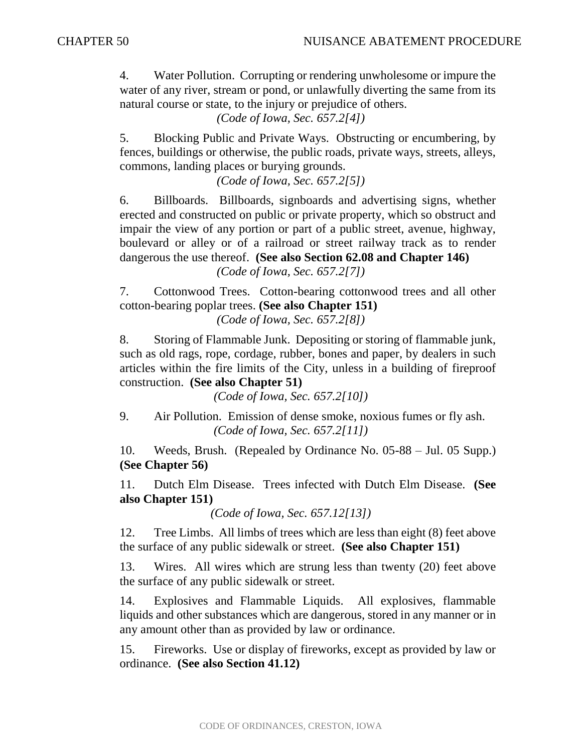4. Water Pollution. Corrupting or rendering unwholesome or impure the water of any river, stream or pond, or unlawfully diverting the same from its natural course or state, to the injury or prejudice of others.

*(Code of Iowa, Sec. 657.2[4])*

5. Blocking Public and Private Ways. Obstructing or encumbering, by fences, buildings or otherwise, the public roads, private ways, streets, alleys, commons, landing places or burying grounds.

*(Code of Iowa, Sec. 657.2[5])*

6. Billboards. Billboards, signboards and advertising signs, whether erected and constructed on public or private property, which so obstruct and impair the view of any portion or part of a public street, avenue, highway, boulevard or alley or of a railroad or street railway track as to render dangerous the use thereof. **(See also Section 62.08 and Chapter 146)** *(Code of Iowa, Sec. 657.2[7])*

7. Cottonwood Trees. Cotton-bearing cottonwood trees and all other cotton-bearing poplar trees. **(See also Chapter 151)**

*(Code of Iowa, Sec. 657.2[8])*

8. Storing of Flammable Junk. Depositing or storing of flammable junk, such as old rags, rope, cordage, rubber, bones and paper, by dealers in such articles within the fire limits of the City, unless in a building of fireproof construction. **(See also Chapter 51)**

*(Code of Iowa, Sec. 657.2[10])*

9. Air Pollution. Emission of dense smoke, noxious fumes or fly ash. *(Code of Iowa, Sec. 657.2[11])*

10. Weeds, Brush. (Repealed by Ordinance No. 05-88 – Jul. 05 Supp.) **(See Chapter 56)**

11. Dutch Elm Disease. Trees infected with Dutch Elm Disease. **(See also Chapter 151)**

*(Code of Iowa, Sec. 657.12[13])*

12. Tree Limbs. All limbs of trees which are less than eight (8) feet above the surface of any public sidewalk or street. **(See also Chapter 151)**

13. Wires. All wires which are strung less than twenty (20) feet above the surface of any public sidewalk or street.

14. Explosives and Flammable Liquids. All explosives, flammable liquids and other substances which are dangerous, stored in any manner or in any amount other than as provided by law or ordinance.

15. Fireworks. Use or display of fireworks, except as provided by law or ordinance. **(See also Section 41.12)**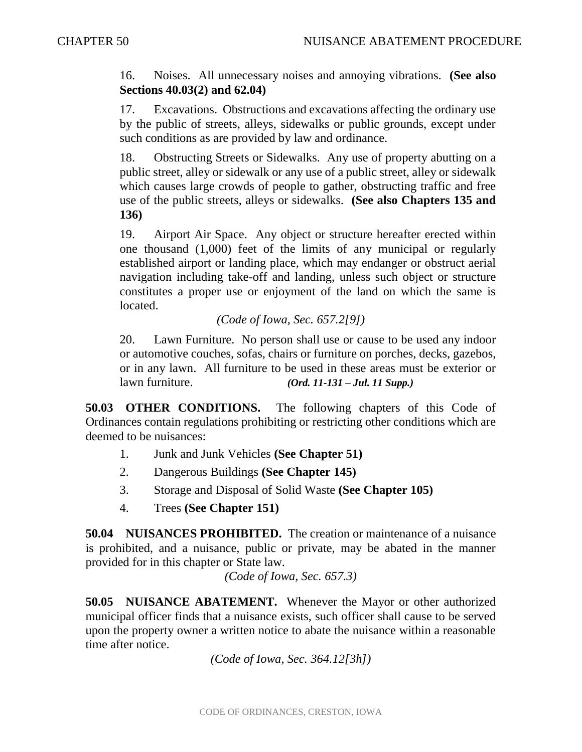16. Noises. All unnecessary noises and annoying vibrations. **(See also Sections 40.03(2) and 62.04)**

17. Excavations. Obstructions and excavations affecting the ordinary use by the public of streets, alleys, sidewalks or public grounds, except under such conditions as are provided by law and ordinance.

18. Obstructing Streets or Sidewalks. Any use of property abutting on a public street, alley or sidewalk or any use of a public street, alley or sidewalk which causes large crowds of people to gather, obstructing traffic and free use of the public streets, alleys or sidewalks. **(See also Chapters 135 and 136)**

19. Airport Air Space. Any object or structure hereafter erected within one thousand (1,000) feet of the limits of any municipal or regularly established airport or landing place, which may endanger or obstruct aerial navigation including take-off and landing, unless such object or structure constitutes a proper use or enjoyment of the land on which the same is located.

## *(Code of Iowa, Sec. 657.2[9])*

20. Lawn Furniture. No person shall use or cause to be used any indoor or automotive couches, sofas, chairs or furniture on porches, decks, gazebos, or in any lawn. All furniture to be used in these areas must be exterior or lawn furniture. *(Ord. 11-131 – Jul. 11 Supp.)*

**50.03 OTHER CONDITIONS.** The following chapters of this Code of Ordinances contain regulations prohibiting or restricting other conditions which are deemed to be nuisances:

- 1. Junk and Junk Vehicles **(See Chapter 51)**
- 2. Dangerous Buildings **(See Chapter 145)**
- 3. Storage and Disposal of Solid Waste **(See Chapter 105)**
- 4. Trees **(See Chapter 151)**

**50.04 NUISANCES PROHIBITED.** The creation or maintenance of a nuisance is prohibited, and a nuisance, public or private, may be abated in the manner provided for in this chapter or State law.

*(Code of Iowa, Sec. 657.3)*

**50.05 NUISANCE ABATEMENT.** Whenever the Mayor or other authorized municipal officer finds that a nuisance exists, such officer shall cause to be served upon the property owner a written notice to abate the nuisance within a reasonable time after notice.

*(Code of Iowa, Sec. 364.12[3h])*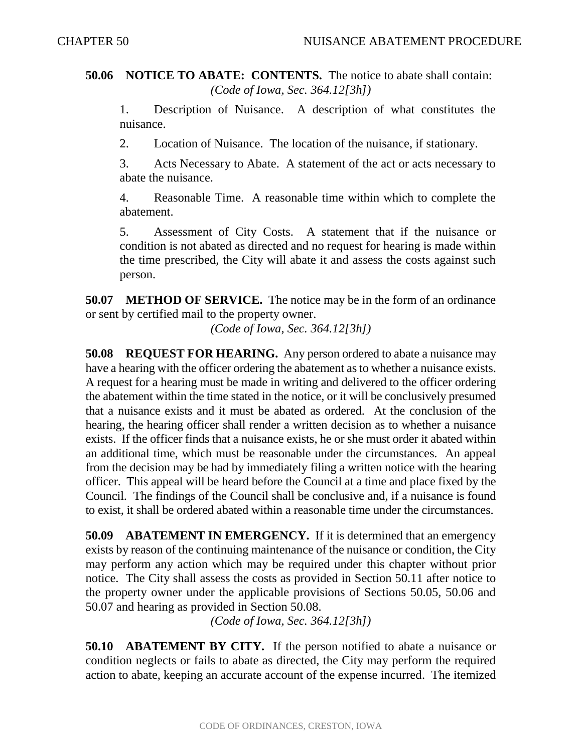## **50.06 NOTICE TO ABATE: CONTENTS.** The notice to abate shall contain: *(Code of Iowa, Sec. 364.12[3h])*

1. Description of Nuisance. A description of what constitutes the nuisance.

2. Location of Nuisance. The location of the nuisance, if stationary.

3. Acts Necessary to Abate. A statement of the act or acts necessary to abate the nuisance.

4. Reasonable Time. A reasonable time within which to complete the abatement.

5. Assessment of City Costs. A statement that if the nuisance or condition is not abated as directed and no request for hearing is made within the time prescribed, the City will abate it and assess the costs against such person.

**50.07 METHOD OF SERVICE.** The notice may be in the form of an ordinance or sent by certified mail to the property owner.

*(Code of Iowa, Sec. 364.12[3h])*

**50.08 REQUEST FOR HEARING.** Any person ordered to abate a nuisance may have a hearing with the officer ordering the abatement as to whether a nuisance exists. A request for a hearing must be made in writing and delivered to the officer ordering the abatement within the time stated in the notice, or it will be conclusively presumed that a nuisance exists and it must be abated as ordered. At the conclusion of the hearing, the hearing officer shall render a written decision as to whether a nuisance exists. If the officer finds that a nuisance exists, he or she must order it abated within an additional time, which must be reasonable under the circumstances. An appeal from the decision may be had by immediately filing a written notice with the hearing officer. This appeal will be heard before the Council at a time and place fixed by the Council. The findings of the Council shall be conclusive and, if a nuisance is found to exist, it shall be ordered abated within a reasonable time under the circumstances.

**50.09 ABATEMENT IN EMERGENCY.** If it is determined that an emergency exists by reason of the continuing maintenance of the nuisance or condition, the City may perform any action which may be required under this chapter without prior notice. The City shall assess the costs as provided in Section 50.11 after notice to the property owner under the applicable provisions of Sections 50.05, 50.06 and 50.07 and hearing as provided in Section 50.08.

*(Code of Iowa, Sec. 364.12[3h])*

**50.10 ABATEMENT BY CITY.** If the person notified to abate a nuisance or condition neglects or fails to abate as directed, the City may perform the required action to abate, keeping an accurate account of the expense incurred. The itemized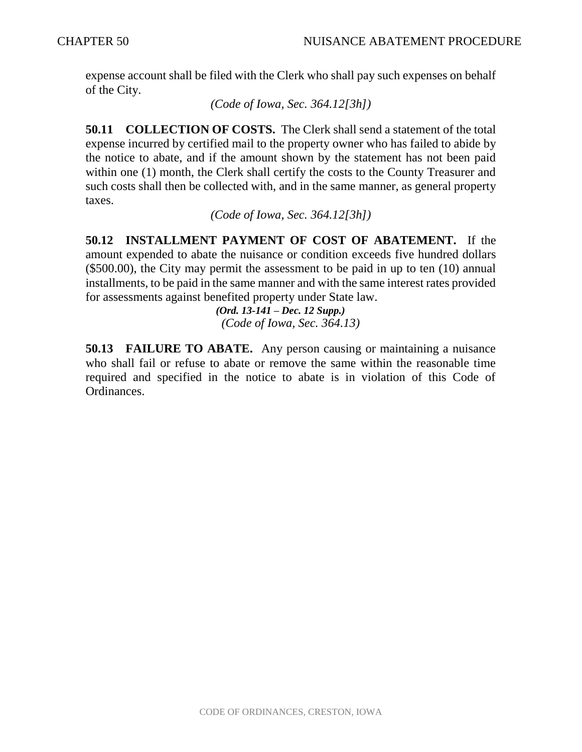expense account shall be filed with the Clerk who shall pay such expenses on behalf of the City.

*(Code of Iowa, Sec. 364.12[3h])*

**50.11 COLLECTION OF COSTS.** The Clerk shall send a statement of the total expense incurred by certified mail to the property owner who has failed to abide by the notice to abate, and if the amount shown by the statement has not been paid within one (1) month, the Clerk shall certify the costs to the County Treasurer and such costs shall then be collected with, and in the same manner, as general property taxes.

*(Code of Iowa, Sec. 364.12[3h])*

**50.12 INSTALLMENT PAYMENT OF COST OF ABATEMENT.** If the amount expended to abate the nuisance or condition exceeds five hundred dollars (\$500.00), the City may permit the assessment to be paid in up to ten (10) annual installments, to be paid in the same manner and with the same interest rates provided for assessments against benefited property under State law.

 *(Ord. 13-141 – Dec. 12 Supp.) (Code of Iowa, Sec. 364.13)*

**50.13 FAILURE TO ABATE.** Any person causing or maintaining a nuisance who shall fail or refuse to abate or remove the same within the reasonable time required and specified in the notice to abate is in violation of this Code of Ordinances.